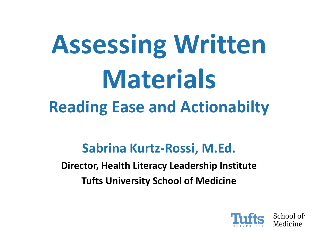# **Assessing Written Materials Reading Ease and Actionabilty**

#### **Sabrina Kurtz-Rossi, M.Ed.**

**Director, Health Literacy Leadership Institute Tufts University School of Medicine** 

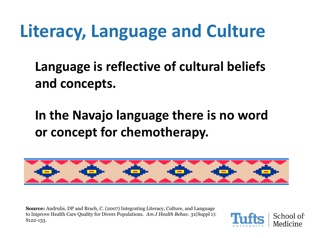#### **Literacy, Language and Culture**

**Language is reflective of cultural beliefs and concepts.** 

**In the Navajo language there is no word or concept for chemotherapy.** 



**Source:** Andrulis, DP and Brach, C. (2007) Integrating Literacy, Culture, and Language to Improve Health Care Quality for Divers Populations. *Am J Health Behav*. 31(Suppl 1): S122-133.

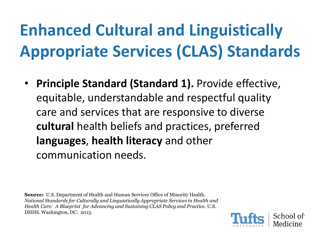#### **Enhanced Cultural and Linguistically Appropriate Services (CLAS) Standards**

• **Principle Standard (Standard 1).** Provide effective, equitable, understandable and respectful quality care and services that are responsive to diverse **cultural** health beliefs and practices, preferred **languages**, **health literacy** and other communication needs.

**Source:** U.S. Department of Health and Human Services Office of Minority Health*. National Standards for Culturally and Linguistically Appropriate Services in Health and Health Car*e*: A Blueprint for Advancing and Sustaining CLAS Policy and Practice*. U.S. DHHS. Washington, DC: 2013.

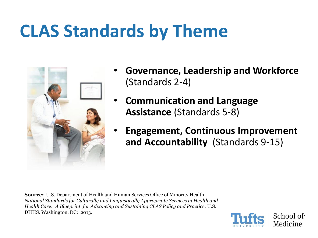#### **CLAS Standards by Theme**



- **Governance, Leadership and Workforce**  (Standards 2-4)
- **Communication and Language Assistance** (Standards 5-8)
- **Engagement, Continuous Improvement and Accountability** (Standards 9-15)

**Source:** U.S. Department of Health and Human Services Office of Minority Health*. National Standards for Culturally and Linguistically Appropriate Services in Health and Health Car*e*: A Blueprint for Advancing and Sustaining CLAS Policy and Practice*. U.S. DHHS. Washington, DC: 2013.

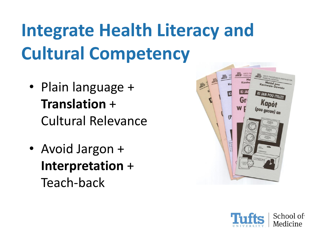## **Integrate Health Literacy and Cultural Competency**

- Plain language + **Translation** + Cultural Relevance
- Avoid Jargon + **Interpretation** + Teach-back



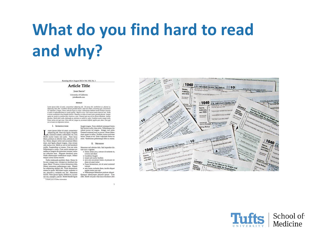#### **What do you find hard to read and why?**

Running title . August 2012 . Vol. XXI, No. 1

#### **Article Title**

**ЈОНУ SMITH** 

University of California john@smith.com

#### Abstract

Lorem ipsum dolor sit amet, consectetuer adipiscing elit. Ut pursa elit, vestibulum ut, placerat ac, antem sposom nover su americane comescenser auspecting ent. Us primo ent, certaminim ur, possenti ac,<br>adjuscing titae, felis. Curabitur dictum gravida materis. Nam arcu libero, novummy egel, consecteurs.<br>id, vulpulate a, m et netus et milessada fames ac turpis egestas. Mauris ut leo. Cras tiverra metus rhoncus sen. Nulla<br>et lectus vestibulum sena fringilla ultrices. Phasellus eu tellus sit amet torter gravida placerat. Integer supien est, iaculis in, pretium quis, cicerra ac, nunc. Praesent eget sem vel leo ultrices bibendum. Aerean<br>function. Morbi deler milita, malesuada est, publisar at, maltis ac, milita. Cumbitier auctor semper suila.<br>Donce orci sit amet orci dignissim rutrum.

#### I. INTRODUCTION

orem ipsum dolor sit amet, consectetur adipiscing elit. Nam dui ligula, fringilla Ja, euismod sodales, sollicitudin vel, wisi. Morbi auctor Jorem non justo. Nam Jacus libero, pretium at, lobortis vitae, ultricies et, tel-Ius. Donec aliquet, tortor sed accumsan bibendum, erat lieula aliquet maena, vitae ornare odio metus a mi. Morbi ac orci et nisl hendrerit mollis. Suspendisse ut massa. Cras nec ante. Pellentesque a nulla. Cum sociis natoque penatibus et magnis dis parturient montes, nascetur ridiculus mus. Aliquam tincidunt urna. Nulla ullamcorper vestibulum turpis. Pellentesque cursus luctus mauris.

Nulla malesuada porttitor diam. Donec felis erat, congue non, volutpat at, tincidunt tris-<br>tique, libero. Vivamus viverra fermentum felis. Donec nonummy pellentesque ante. Phasellus adipiscing semper elit. Proin fermentum<br>massa ac quam. Sed diam turpis, molestie vitae, placerat a, molestie nec, leo. Maecenas lacinia. Nam ipsum ligula, eleifend at, accumsan nec, suscipit a, ipsum. Morbi blandit ligula "A thank you or further information

feugiat magna. Nunc eleifend consequat lorem Sed lacinia nulla vitae enim. Pellentesque tincidunt purus vel magna. Integer non enim. Praesent euismod nunc eu purus. Donec bibendum quam in tellus. Nullam cursus pulvinar lectus. Donec et mi. Nam vulputate metus eu enim. Vestibulum pellentesque felis eu massa.

#### II. METHODS

- Maecenas sed ultricies felis. Sed imperdiet dictum arcu a egestas.<br>• Donec dolor arcu, rutrum id molestie in,
- viverra sed diam
- · Curabitur feugiat<br>• turpis sed auctor facilisis
- · arcu eros accumsan lorem, at posuere mi diam sit amet tortor
- · Fusce fermentum, mi sit amet euismod rutrum
- · sem lorem molestie diam, jaculis aliquet sapien tortor non nisi
- · Pellentesque bibendum pretium aliquet Quisque ullamcorper placerat ipsum. Cras<br>nibh. Morbi vel justo vitae lacus tincidunt ultri-





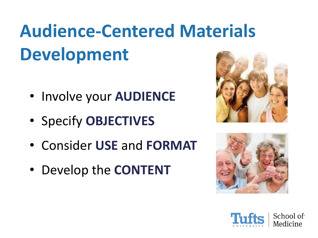## **Audience-Centered Materials Development**

- Involve your **AUDIENCE**
- Specify **OBJECTIVES**
- Consider **USE** and **FORMAT**
- Develop the **CONTENT**





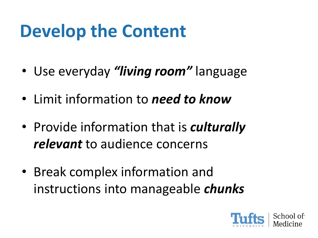#### **Develop the Content**

- Use everyday *"living room"* language
- Limit information to *need to know*
- Provide information that is *culturally relevant* to audience concerns
- Break complex information and instructions into manageable *chunks*

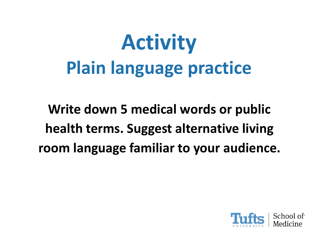# **Activity Plain language practice**

**Write down 5 medical words or public health terms. Suggest alternative living room language familiar to your audience.** 

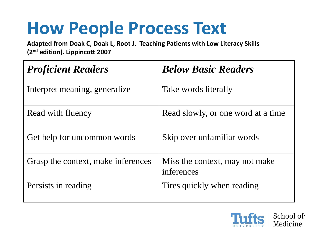#### **How People Process Text**

**Adapted from Doak C, Doak L, Root J. Teaching Patients with Low Literacy Skills (2nd edition). Lippincott 2007**

| <b>Proficient Readers</b>          | <b>Below Basic Readers</b>                   |
|------------------------------------|----------------------------------------------|
| Interpret meaning, generalize      | Take words literally                         |
| Read with fluency                  | Read slowly, or one word at a time           |
| Get help for uncommon words        | Skip over unfamiliar words                   |
| Grasp the context, make inferences | Miss the context, may not make<br>inferences |
| Persists in reading                | Tires quickly when reading                   |

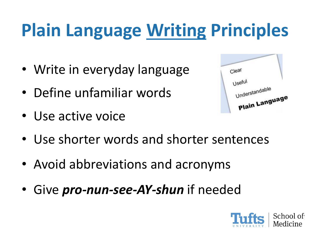## **Plain Language Writing Principles**

- Write in everyday language
- Define unfamiliar words
- Use active voice

| Clear          |  |
|----------------|--|
| Useful         |  |
| Understandable |  |
| Plain Language |  |

- Use shorter words and shorter sentences
- Avoid abbreviations and acronyms
- Give *pro-nun-see-AY-shun* if needed

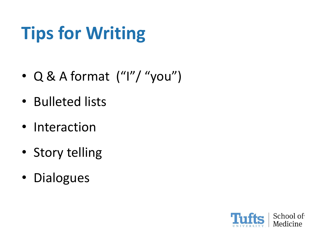## **Tips for Writing**

- Q & A format ("I"/ "you")
- Bulleted lists
- Interaction
- Story telling
- Dialogues

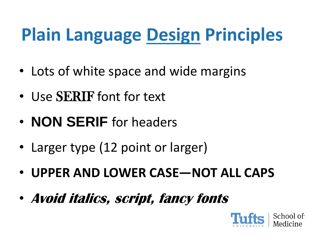## **Plain Language Design Principles**

- Lots of white space and wide margins
- Use SERIF font for text
- **NON SERIF** for headers
- Larger type (12 point or larger)
- **UPPER AND LOWER CASE—NOT ALL CAPS**
- **Avoid italics, script, fancy fonts**

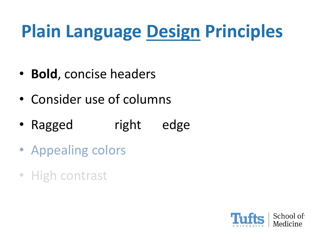## **Plain Language Design Principles**

- **Bold**, concise headers
- Consider use of columns
- Ragged right edge
- Appealing colors
- High contrast

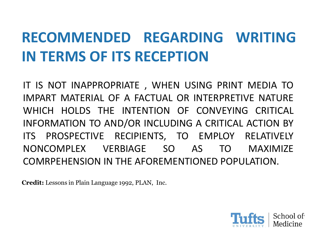#### **RECOMMENDED REGARDING WRITING IN TERMS OF ITS RECEPTION**

IT IS NOT INAPPROPRIATE , WHEN USING PRINT MEDIA TO IMPART MATERIAL OF A FACTUAL OR INTERPRETIVE NATURE WHICH HOLDS THE INTENTION OF CONVEYING CRITICAL INFORMATION TO AND/OR INCLUDING A CRITICAL ACTION BY ITS PROSPECTIVE RECIPIENTS, TO EMPLOY RELATIVELY NONCOMPLEX VERBIAGE SO AS TO MAXIMIZE COMRPEHENSION IN THE AFOREMENTIONED POPULATION.

**Credit:** Lessons in Plain Language 1992, PLAN, Inc.

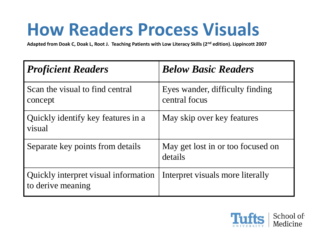#### **How Readers Process Visuals**

**Adapted from Doak C, Doak L, Root J. Teaching Patients with Low Literacy Skills (2nd edition). Lippincott 2007**

| <b>Proficient Readers</b>                                 | <b>Below Basic Readers</b>                       |
|-----------------------------------------------------------|--------------------------------------------------|
| Scan the visual to find central<br>concept                | Eyes wander, difficulty finding<br>central focus |
| Quickly identify key features in a<br>visual              | May skip over key features                       |
| Separate key points from details                          | May get lost in or too focused on<br>details     |
| Quickly interpret visual information<br>to derive meaning | Interpret visuals more literally                 |

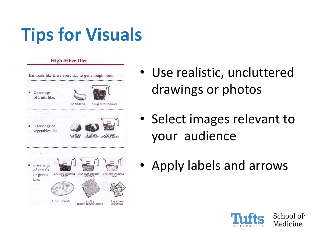### **Tips for Visuals**



- Use realistic, uncluttered drawings or photos
- Select images relevant to your audience
- Apply labels and arrows

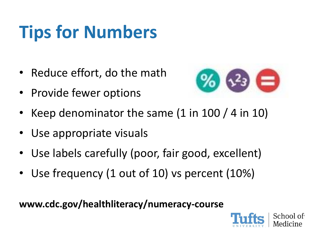## **Tips for Numbers**

- Reduce effort, do the math
- Provide fewer options



- Keep denominator the same (1 in 100 / 4 in 10)
- Use appropriate visuals
- Use labels carefully (poor, fair good, excellent)
- Use frequency (1 out of 10) vs percent (10%)

**www.cdc.gov/healthliteracy/numeracy-course**

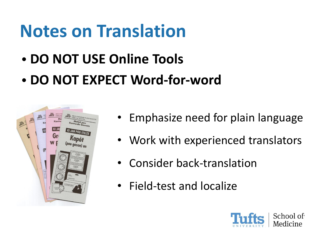#### **Notes on Translation**

- **DO NOT USE Online Tools**
- **DO NOT EXPECT Word-for-word**



- Emphasize need for plain language
- Work with experienced translators
- Consider back-translation
- Field-test and localize

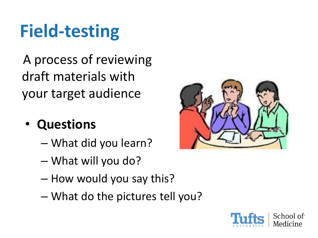## **Field-testing**

A process of reviewing draft materials with your target audience

#### • **Questions**

- What did you learn?
- What will you do?
- How would you say this?
- What do the pictures tell you?



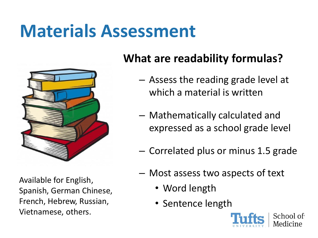#### **Materials Assessment**



Available for English, Spanish, German Chinese, French, Hebrew, Russian, Vietnamese, others.

#### **What are readability formulas?**

- Assess the reading grade level at which a material is written
- Mathematically calculated and expressed as a school grade level
- Correlated plus or minus 1.5 grade
- Most assess two aspects of text
	- Word length
	- Sentence length

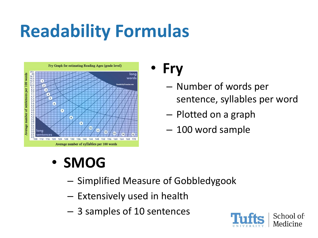### **Readability Formulas**



#### • **Fry**

- Number of words per sentence, syllables per word
- Plotted on a graph
- 100 word sample

#### • **SMOG**

- Simplified Measure of Gobbledygook
- Extensively used in health
- 3 samples of 10 sentences

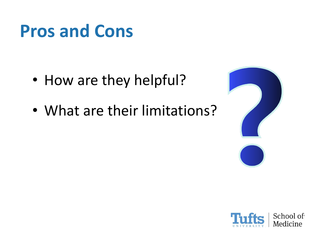#### **Pros and Cons**

- How are they helpful?
- What are their limitations?



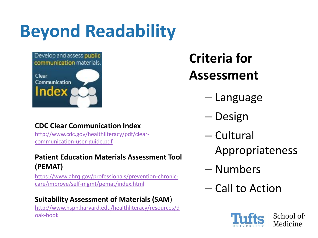#### **Beyond Readability**



#### **Criteria for Assessment**

- Language
- Design
- Cultural
	- Appropriateness
- Numbers
- Call to Action



#### **CDC Clear Communication Index**

[http://www.cdc.gov/healthliteracy/pdf/clear](http://www.cdc.gov/healthliteracy/pdf/clear-communication-user-guide.pdf)communication-user-guide.pdf

#### **Patient Education Materials Assessment Tool (PEMAT)**

[https://www.ahrq.gov/professionals/prevention-chronic](https://www.ahrq.gov/professionals/prevention-chronic-care/improve/self-mgmt/pemat/index.html)care/improve/self-mgmt/pemat/index.html

#### **Suitability Assessment of Materials (SAM**)

[http://www.hsph.harvard.edu/healthliteracy/resources/d](http://www.hsph.harvard.edu/healthliteracy/resources/doak-book) oak-book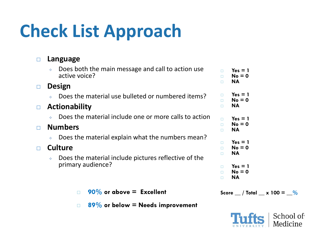## **Check List Approach**

| Language                                                                        |  |
|---------------------------------------------------------------------------------|--|
| Does both the main message and call to action use<br>active voice?              |  |
| <b>Design</b>                                                                   |  |
| Does the material use bulleted or numbered items?                               |  |
| <b>Actionability</b>                                                            |  |
| Does the material include one or more calls to action                           |  |
| <b>Numbers</b>                                                                  |  |
| Does the material explain what the numbers mean?                                |  |
| <b>Culture</b>                                                                  |  |
| Does the material include pictures reflective of the<br>A.<br>primary audience? |  |
|                                                                                 |  |
|                                                                                 |  |

**89% or below = Needs improvement**

| Ω      | $Yes = 1$           |
|--------|---------------------|
| $\Box$ | $No = 0$            |
| $\Box$ | ΝA                  |
| □      | $Yes = 1$           |
| $\Box$ | $No = 0$            |
| ò      | ΝA                  |
| $\Box$ | $Yes = 1$           |
| $\Box$ | $No = 0$            |
| Ò      | NΑ                  |
| □      | $Yes = 1$           |
| $\Box$ | $No = 0$            |
| $\Box$ | NΑ                  |
| □      | $Yes = 1$<br>N. — N |

- **No = 0 NA**
	-
- **90% or above = Excellent Score**  $\frac{1}{2}$  **Score**  $\frac{1}{2}$  **Score**  $\frac{1}{2}$  **Score**  $\frac{1}{2}$  **Score**  $\frac{1}{2}$  **Score**  $\frac{1}{2}$  **Score**  $\frac{1}{2}$  **Score**  $\frac{1}{2}$  **Score**  $\frac{1}{2}$  **Score**  $\frac{1}{2}$  **Score**  $\frac{1}{$

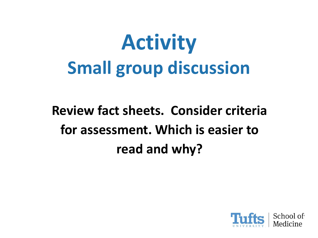# **Activity Small group discussion**

**Review fact sheets. Consider criteria for assessment. Which is easier to read and why?**